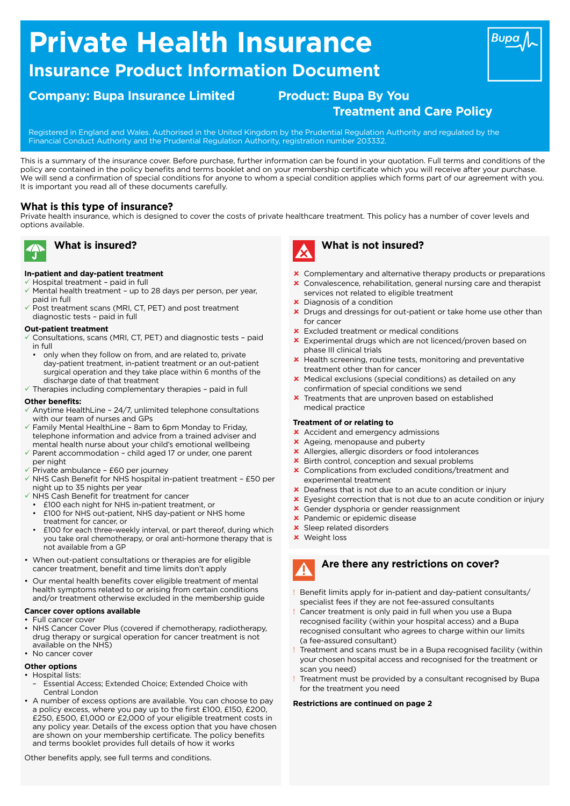# **Private Health Insurance**

## **Insurance Product Information Document**

## **Company: Bupa Insurance Limited Product: Bupa By You**

## **Treatment and Care Policy**

Registered in England and Wales. Authorised in the United Kingdom by the Prudential Regulation Authority and regulated by the Financial Conduct Authority and the Prudential Regulation Authority, registration number 203332.

This is a summary of the insurance cover. Before purchase, further information can be found in your quotation. Full terms and conditions of the policy are contained in the policy benefts and terms booklet and on your membership certifcate which you will receive after your purchase. We will send a confrmation of special conditions for anyone to whom a special condition applies which forms part of our agreement with you. It is important you read all of these documents carefully.

#### **What is this type of insurance?**

Private health insurance, which is designed to cover the costs of private healthcare treatment. This policy has a number of cover levels and options available.



## **What is insured?**

#### **In-patient and day-patient treatment**

- $\checkmark$  Hospital treatment paid in full
- $\checkmark$  Mental health treatment up to 28 days per person, per year, paid in full
- Post treatment scans (MRI, CT, PET) and post treatment diagnostic tests – paid in full

#### **Out-patient treatment**

- ü Consultations, scans (MRI, CT, PET) and diagnostic tests paid in full
- only when they follow on from, and are related to, private day-patient treatment, in-patient treatment or an out-patient surgical operation and they take place within 6 months of the discharge date of that treatment
- $\checkmark$  Therapies including complementary therapies paid in full

#### **Other benefits:**

- Anytime HealthLine 24/7, unlimited telephone consultations with our team of nurses and GPs
- $\checkmark$  Family Mental HealthLine 8am to 6pm Monday to Friday, telephone information and advice from a trained adviser and mental health nurse about your child's emotional wellbeing
- $\checkmark$  Parent accommodation child aged 17 or under, one parent per night
- Private ambulance £60 per journey
- $\checkmark$  NHS Cash Benefit for NHS hospital in-patient treatment £50 per night up to 35 nights per year
- $\checkmark$  NHS Cash Benefit for treatment for cancer
- £100 each night for NHS in-patient treatment, or
- £100 for NHS out-patient, NHS day-patient or NHS home treatment for cancer, or
- £100 for each three-weekly interval, or part thereof, during which you take oral chemotherapy, or oral anti-hormone therapy that is not available from a GP
- When out-patient consultations or therapies are for eligible cancer treatment, benefit and time limits don't apply
- Our mental health benefits cover eligible treatment of mental health symptoms related to or arising from certain conditions and/or treatment otherwise excluded in the membership guide

#### **Cancer cover options available**

- Full cancer cover
- NHS Cancer Cover Plus (covered if chemotherapy, radiotherapy, drug therapy or surgical operation for cancer treatment is not available on the NHS) • No cancer cover

### **Other options**

- Hospital lists:
- Essential Access; Extended Choice; Extended Choice with Central London
- A number of excess options are available. You can choose to pay a policy excess, where you pay up to the frst £100, £150, £200, £250, £500, £1,000 or £2,000 of your eligible treatment costs in any policy year. Details of the excess option that you have chosen are shown on your membership certificate. The policy benefits and terms booklet provides full details of how it works

Other benefits apply, see full terms and conditions.



## **What is not insured?**

- **x** Complementary and alternative therapy products or preparations
- û Convalescence, rehabilitation, general nursing care and therapist services not related to eligible treatment
- **x** Diagnosis of a condition
- **x** Drugs and dressings for out-patient or take home use other than for cancer
- $x$  Excluded treatment or medical conditions
- û Experimental drugs which are not licenced/proven based on phase III clinical trials
- $\star$  Health screening, routine tests, monitoring and preventative treatment other than for cancer
- $\boldsymbol{\times}$  Medical exclusions (special conditions) as detailed on any confrmation of special conditions we send
- **x** Treatments that are unproven based on established medical practice

#### **Treatment of or relating to**

- **x** Accident and emergency admissions
- **x** Ageing, menopause and puberty
- Allergies, allergic disorders or food intolerances
- **x** Birth control, conception and sexual problems
- $\star$  Complications from excluded conditions/treatment and experimental treatment
- û Deafness that is not due to an acute condition or injury
- **x** Eyesight correction that is not due to an acute condition or injury
- û Gender dysphoria or gender reassignment
- û Pandemic or epidemic disease
- **x** Sleep related disorders
- **x** Weight loss



- Benefit limits apply for in-patient and day-patient consultants/ specialist fees if they are not fee-assured consultants
- Cancer treatment is only paid in full when you use a Bupa recognised facility (within your hospital access) and a Bupa recognised consultant who agrees to charge within our limits (a fee-assured consultant)
- Treatment and scans must be in a Bupa recognised facility (within your chosen hospital access and recognised for the treatment or scan you need)
- Treatment must be provided by a consultant recognised by Bupa for the treatment you need

#### **Restrictions are continued on page 2**